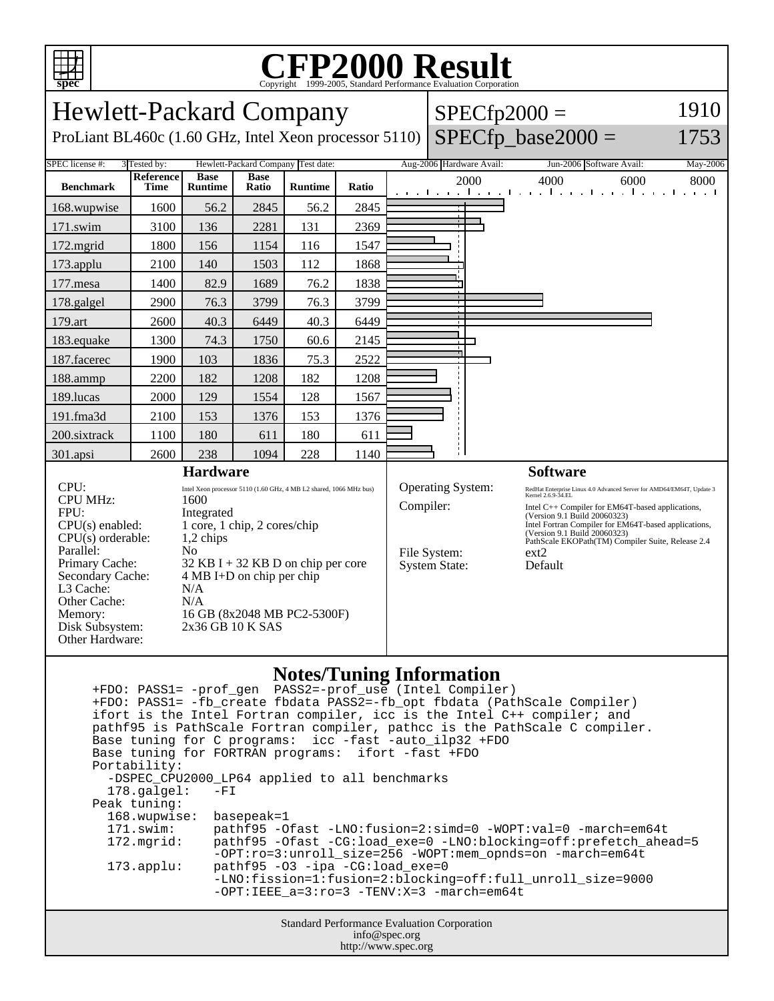

## **CFP2000 Result** Copyright ©1999-2005, Standard Performance Evaluation Corporation

| <b>Hewlett-Packard Company</b>                                                                                                            |                                                                    |                               |                      |                 |       |                   | $SPECfp2000 =$                  | 1910 |                                                                                             |                                                  |  |
|-------------------------------------------------------------------------------------------------------------------------------------------|--------------------------------------------------------------------|-------------------------------|----------------------|-----------------|-------|-------------------|---------------------------------|------|---------------------------------------------------------------------------------------------|--------------------------------------------------|--|
| $SPECfp\_base2000 =$<br>ProLiant BL460c (1.60 GHz, Intel Xeon processor 5110)<br>1753                                                     |                                                                    |                               |                      |                 |       |                   |                                 |      |                                                                                             |                                                  |  |
| SPEC license #:<br>Hewlett-Packard Company Test date:<br>Aug-2006 Hardware Avail:<br>3 Tested by:<br>May-2006<br>Jun-2006 Software Avail: |                                                                    |                               |                      |                 |       |                   |                                 |      |                                                                                             |                                                  |  |
| <b>Benchmark</b>                                                                                                                          | Reference<br>Time                                                  | <b>Base</b><br><b>Runtime</b> | <b>Base</b><br>Ratio | <b>Runtime</b>  | Ratio |                   |                                 | 2000 | 4000<br>6000<br>المتعارض والمتحارب والمتحارب والمتحارب والمتحارب                            | 8000                                             |  |
| 168.wupwise                                                                                                                               | 1600                                                               | 56.2                          | 2845                 | 56.2            | 2845  |                   |                                 |      |                                                                                             |                                                  |  |
| 171.swim                                                                                                                                  | 3100                                                               | 136                           | 2281                 | 131             | 2369  |                   |                                 |      |                                                                                             |                                                  |  |
| 172.mgrid                                                                                                                                 | 1800                                                               | 156                           | 1154                 | 116             | 1547  |                   |                                 |      |                                                                                             |                                                  |  |
| 173.applu                                                                                                                                 | 2100                                                               | 140                           | 1503                 | 112             | 1868  |                   |                                 |      |                                                                                             |                                                  |  |
| 177.mesa                                                                                                                                  | 1400                                                               | 82.9                          | 1689                 | 76.2            | 1838  |                   |                                 |      |                                                                                             |                                                  |  |
| 178.galgel                                                                                                                                | 2900                                                               | 76.3                          | 3799                 | 76.3            | 3799  |                   |                                 |      |                                                                                             |                                                  |  |
| 179.art                                                                                                                                   | 2600                                                               | 40.3                          | 6449                 | 40.3            | 6449  |                   |                                 |      |                                                                                             |                                                  |  |
| 183.equake                                                                                                                                | 1300                                                               | 74.3                          | 1750                 | 60.6            | 2145  |                   |                                 |      |                                                                                             |                                                  |  |
| 187.facerec                                                                                                                               | 1900                                                               | 103                           | 1836                 | 75.3            | 2522  |                   |                                 |      |                                                                                             |                                                  |  |
| 188.ammp                                                                                                                                  | 2200                                                               | 182                           | 1208                 | 182             | 1208  |                   |                                 |      |                                                                                             |                                                  |  |
| 189.lucas                                                                                                                                 | 2000                                                               | 129                           | 1554                 | 128             | 1567  |                   |                                 |      |                                                                                             |                                                  |  |
| 191.fma3d                                                                                                                                 | 2100                                                               | 153                           | 1376                 | 153             | 1376  |                   |                                 |      |                                                                                             |                                                  |  |
| 200.sixtrack                                                                                                                              | 1100                                                               | 180                           | 611                  | 180             | 611   |                   |                                 |      |                                                                                             |                                                  |  |
| 301.apsi                                                                                                                                  | 2600                                                               | 238                           | 1094                 | 228             | 1140  |                   |                                 |      |                                                                                             |                                                  |  |
|                                                                                                                                           | <b>Hardware</b>                                                    |                               |                      | <b>Software</b> |       |                   |                                 |      |                                                                                             |                                                  |  |
| CPU:                                                                                                                                      | Intel Xeon processor 5110 (1.60 GHz, 4 MB L2 shared, 1066 MHz bus) |                               |                      |                 |       | Operating System: |                                 |      | RedHat Enterprise Linux 4.0 Advanced Server for AMD64/EM64T, Update 3<br>Kernel 2.6.9-34.EL |                                                  |  |
| <b>CPU MHz:</b><br>FPU:                                                                                                                   |                                                                    | 1600                          |                      |                 |       | Compiler:         |                                 |      |                                                                                             | Intel C++ Compiler for EM64T-based applications, |  |
| Integrated<br>1 core, 1 chip, 2 cores/chip<br>$CPU(s)$ enabled:                                                                           |                                                                    |                               |                      |                 |       |                   |                                 |      | (Version 9.1 Build 20060323)<br>Intel Fortran Compiler for EM64T-based applications,        |                                                  |  |
| $CPU(s)$ orderable:<br>1,2 chips                                                                                                          |                                                                    |                               |                      |                 |       |                   |                                 |      | (Version 9.1 Build 20060323)<br>PathScale EKOPath(TM) Compiler Suite, Release 2.4           |                                                  |  |
| Parallel:<br>No                                                                                                                           |                                                                    |                               |                      |                 |       |                   | File System:                    |      | ext2                                                                                        |                                                  |  |
| Primary Cache:<br>$32$ KB I + 32 KB D on chip per core                                                                                    |                                                                    |                               |                      |                 |       |                   | Default<br><b>System State:</b> |      |                                                                                             |                                                  |  |
| Secondary Cache:<br>$4 MB I+D$ on chip per chip                                                                                           |                                                                    |                               |                      |                 |       |                   |                                 |      |                                                                                             |                                                  |  |
| L3 Cache:<br>N/A<br>Other Cache:<br>N/A                                                                                                   |                                                                    |                               |                      |                 |       |                   |                                 |      |                                                                                             |                                                  |  |
| Memory:<br>16 GB (8x2048 MB PC2-5300F)                                                                                                    |                                                                    |                               |                      |                 |       |                   |                                 |      |                                                                                             |                                                  |  |
| 2x36 GB 10 K SAS<br>Disk Subsystem:                                                                                                       |                                                                    |                               |                      |                 |       |                   |                                 |      |                                                                                             |                                                  |  |
| Other Hardware:                                                                                                                           |                                                                    |                               |                      |                 |       |                   |                                 |      |                                                                                             |                                                  |  |
|                                                                                                                                           |                                                                    |                               |                      |                 |       |                   |                                 |      |                                                                                             |                                                  |  |
| <b>Notes/Tuning Information</b><br>$PASS2=nnof$ use (Intel Compiler)<br>$+FDO: PASS1 = -nrof can$                                         |                                                                    |                               |                      |                 |       |                   |                                 |      |                                                                                             |                                                  |  |

Standard Performance Evaluation Corporation info@spec.org +FDO: PASS1= -prof\_gen PASS2=-prof\_use (Intel Compiler) +FDO: PASS1= -fb\_create fbdata PASS2=-fb\_opt fbdata (PathScale Compiler) ifort is the Intel Fortran compiler, icc is the Intel C++ compiler; and pathf95 is PathScale Fortran compiler, pathcc is the PathScale C compiler. Base tuning for C programs: icc -fast -auto\_ilp32 +FDO Base tuning for FORTRAN programs: ifort -fast +FDO Portability: -DSPEC\_CPU2000\_LP64 applied to all benchmarks<br>178.qalqel: -FI  $178.galgel:$  Peak tuning: 168.wupwise: basepeak=1 171.swim: pathf95 -Ofast -LNO:fusion=2:simd=0 -WOPT:val=0 -march=em64t 172.mgrid: pathf95 -Ofast -CG:load\_exe=0 -LNO:blocking=off:prefetch\_ahead=5 -OPT:ro=3:unroll\_size=256 -WOPT:mem\_opnds=on -march=em64t<br>173.applu: pathf95 -03 -ipa -CG:load\_exe=0 pathf95 -O3 -ipa -CG:load\_exe=0 -LNO:fission=1:fusion=2:blocking=off:full\_unroll\_size=9000 -OPT:IEEE\_a=3:ro=3 -TENV:X=3 -march=em64t

http://www.spec.org